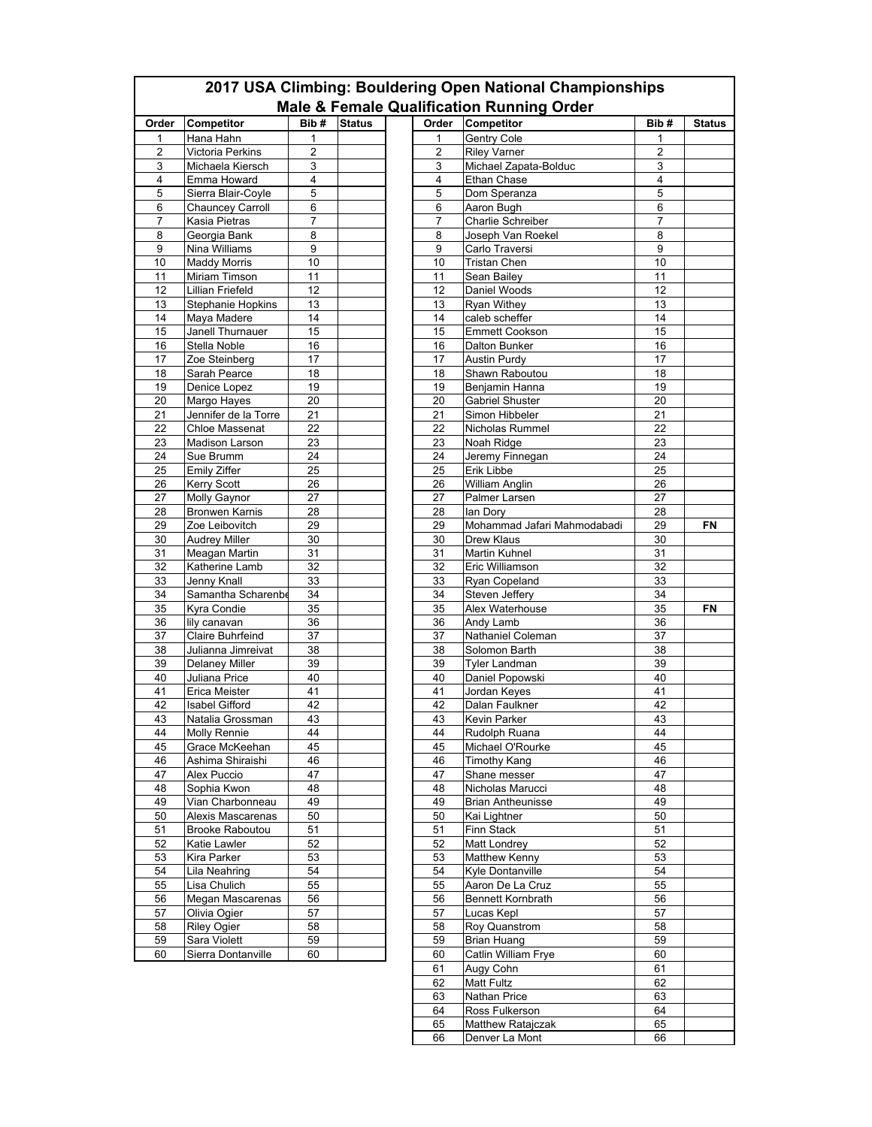|          |                                              | 2017 USA Climbing: Bouldering Open National Championships<br><b>Male &amp; Female Qualification Running Order</b> |               |  |  |  |
|----------|----------------------------------------------|-------------------------------------------------------------------------------------------------------------------|---------------|--|--|--|
| Order    | Competitor                                   | Bib#                                                                                                              | <b>Status</b> |  |  |  |
| 1        | Hana Hahn                                    | 1                                                                                                                 |               |  |  |  |
| 2        | Victoria Perkins                             | 2                                                                                                                 |               |  |  |  |
| 3        | Michaela Kiersch                             | 3                                                                                                                 |               |  |  |  |
| 4<br>5   | Emma Howard<br>Sierra Blair-Coyle            | 4<br>5                                                                                                            |               |  |  |  |
| 6        | <b>Chauncey Carroll</b>                      | 6                                                                                                                 |               |  |  |  |
| 7        | Kasia Pietras                                | 7                                                                                                                 |               |  |  |  |
| 8        | Georgia Bank                                 | 8                                                                                                                 |               |  |  |  |
| 9        | Nina Williams                                | 9                                                                                                                 |               |  |  |  |
| 10       | <b>Maddy Morris</b>                          | 10                                                                                                                |               |  |  |  |
| 11       | Miriam Timson                                | 11                                                                                                                |               |  |  |  |
| 12<br>13 | Lillian Friefeld<br><b>Stephanie Hopkins</b> | 12<br>13                                                                                                          |               |  |  |  |
| 14       | Maya Madere                                  | 14                                                                                                                |               |  |  |  |
| 15       | Janell Thurnauer                             | 15                                                                                                                |               |  |  |  |
| 16       | Stella Noble                                 | 16                                                                                                                |               |  |  |  |
| 17       | Zoe Steinberg                                | 17                                                                                                                |               |  |  |  |
| 18       | Sarah Pearce                                 | 18                                                                                                                |               |  |  |  |
| 19       | Denice Lopez                                 | 19                                                                                                                |               |  |  |  |
| 20       | Margo Hayes                                  | 20                                                                                                                |               |  |  |  |
| 21<br>22 | Jennifer de la Torre                         | 21<br>22                                                                                                          |               |  |  |  |
| 23       | Chloe Massenat<br><b>Madison Larson</b>      | 23                                                                                                                |               |  |  |  |
| 24       | Sue Brumm                                    | 24                                                                                                                |               |  |  |  |
| 25       | Emily Ziffer                                 | 25                                                                                                                |               |  |  |  |
| 26       | Kerry Scott                                  | 26                                                                                                                |               |  |  |  |
| 27       | Molly Gaynor                                 | 27                                                                                                                |               |  |  |  |
| 28       | <b>Bronwen Karnis</b>                        | 28                                                                                                                |               |  |  |  |
| 29       | Zoe Leibovitch                               | 29                                                                                                                |               |  |  |  |
| 30<br>31 | <b>Audrey Miller</b><br>Meagan Martin        | 30<br>31                                                                                                          |               |  |  |  |
| 32       | Katherine Lamb                               | 32                                                                                                                |               |  |  |  |
| 33       | Jenny Knall                                  | 33                                                                                                                |               |  |  |  |
| 34       | Samantha Scharenbe                           | 34                                                                                                                |               |  |  |  |
| 35       | Kyra Condie                                  | 35                                                                                                                |               |  |  |  |
| 36       | lily canavan                                 | 36                                                                                                                |               |  |  |  |
| 37       | Claire Buhrfeind                             | 37                                                                                                                |               |  |  |  |
| 38<br>39 | Julianna Jimreivat<br>Delaney Miller         | 38<br>39                                                                                                          |               |  |  |  |
| 40       | Juliana Price                                | 40                                                                                                                |               |  |  |  |
| 41       | Erica Meister                                | 41                                                                                                                |               |  |  |  |
| 42       | <b>Isabel Gifford</b>                        | 42                                                                                                                |               |  |  |  |
| 43       | Natalia Grossman                             | 43                                                                                                                |               |  |  |  |
| 44       | <b>Molly Rennie</b>                          | 44                                                                                                                |               |  |  |  |
| 45       | Grace McKeehan                               | 45                                                                                                                |               |  |  |  |
| 46<br>47 | Ashima Shiraishi<br>Alex Puccio              | 46<br>47                                                                                                          |               |  |  |  |
| 48       | Sophia Kwon                                  | 48                                                                                                                |               |  |  |  |
| 49       | Vian Charbonneau                             | 49                                                                                                                |               |  |  |  |
| 50       | Alexis Mascarenas                            | 50                                                                                                                |               |  |  |  |
| 51       | <b>Brooke Raboutou</b>                       | 51                                                                                                                |               |  |  |  |
| 52       | Katie Lawler                                 | 52                                                                                                                |               |  |  |  |
| 53       | Kira Parker                                  | 53                                                                                                                |               |  |  |  |
| 54       | Lila Neahring                                | 54                                                                                                                |               |  |  |  |
| 55<br>56 | Lisa Chulich<br>Megan Mascarenas             | 55<br>56                                                                                                          |               |  |  |  |
| 57       | Olivia Ogier                                 | 57                                                                                                                |               |  |  |  |
| 58       | <b>Riley Ogier</b>                           | 58                                                                                                                |               |  |  |  |
| 59       | Sara Violett                                 | 59                                                                                                                |               |  |  |  |
| 60       | Sierra Dontanville                           | 60                                                                                                                |               |  |  |  |
|          |                                              |                                                                                                                   |               |  |  |  |
|          |                                              |                                                                                                                   |               |  |  |  |
|          |                                              |                                                                                                                   |               |  |  |  |
|          |                                              |                                                                                                                   |               |  |  |  |
|          |                                              |                                                                                                                   |               |  |  |  |

 $\Gamma$ 

66 Denver La Mont 66